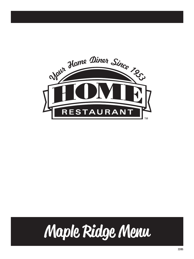

# Maple Ridge Menu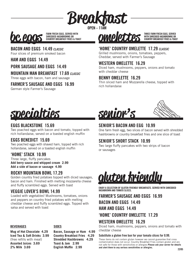

**OPEN – 11AM**



#### **BACON AND EGGS 14.49** *CLASSIC*

Four slices of premium smoked bacon

#### **HAM AND EGGS 14.49**

#### **PORK SAUSAGE AND EGGS 14.49**

**MOUNTAIN MAN BREAKFAST 17.69** *CLASSIC*

Three eggs with bacon, ham and sausage

#### **FARMER'S SAUSAGE AND EGGS 16.99**

German style Farmer's Sausage



**WITH SHREDDED HASHBROWNS OR COUNTRY BREAKFAST FRIES & TOAST**

#### **'HOME' COUNTRY OMELETTE 17.29** *CLASSIC*

Grilled mushrooms, onions, tomatoes, peppers, Cheddar, served with Farmer's Sausage

#### **WESTERN OMELETTE 16.29**

Diced ham, mushrooms, peppers, onions and tomato with cheddar cheese

#### **BENNY OMELETTE 16.29**

Thin sliced ham and Mozzarella cheese, topped with rich hollandaise



#### **EGGS BLACKSTONE 15.69**

Two poached eggs with bacon and tomato, topped with rich hollandaise, served on a toasted english muffin

#### **EGGS BENEDICT 15.69**

Two poached eggs with shaved ham, topped with rich hollandaise, served on a toasted english muffin

#### **'HOME' STACK 10.99**

Three large, fluffy pancakes **Add berry sauce and whipped cream 2.99 Add a side of bacon or sausage 4.99**

#### **ROCKY MOUNTAIN BOWL 17.29**

Golden country fried potatoes topped with diced sausages, bacon and ham. Finished with melting mozzarella cheese and fluffy scrambled eggs. Served with toast

#### **VEGGIE LOVER'S BOWL 14.99**

Loaded with vegetables! Mushrooms, tomatoes, onions and peppers on country fried potatoes with melting cheddar cheese and fluffy scrambled eggs. Topped with salsa and served with toast

#### **BEVERAGES**

#### **SIDES**

**Mug of Hot Chocolate 4.29 Iced Tea & Soft Drinks 3.99** (free refills with meal) **Assorted Juices 3.69 2% Milk 3.69**

**Bacon, Sausage or Ham 4.99 Country Breakfast Fries 4.29 Shredded Hashbrowns 4.29 Toast & Jam 2.99 English Muffin 2.99**



#### **SENIOR'S BACON AND EGG 10.99**

One farm fresh egg, two slices of bacon served with shredded hashbrowns or country breakfast fries and one slice of toast

#### **SENIOR'S SHORT STACK 10.99**

Two large fluffy pancakes with two strips of bacon or sausages

### gluten friendly

**ENJOY A SELECTION OF GLUTEN FRIENDLY BREAKFASTS. SERVED WITH SHREDDED HASHBROWN AND TOMATO SLICES.**

#### **FARMER'S SAUSAGE AND EGGS 16.99 BACON AND EGGS 14.49 HAM AND EGGS 14.49**

#### **'HOME' COUNTRY OMELETTE 17.29**

#### **WESTERN OMELETTE 16.29**

Diced ham, mushrooms, peppers, onions and tomato with cheddar cheese

#### **Substitute a gluten free bun for your tomato slices for 0.99.**

These items do not contain gluten however we cannot guarantee that cross contamination does not occur. Country Breakfast Fries contain gluten and are not safe for those with sensitivities or allergies **Please ask your server for details and alert them to any serious sensitivities or allergies.**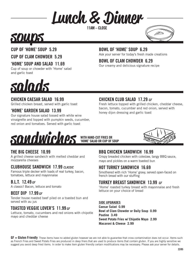## Lunch & Dinner

**11AM – CLOSE**





#### **CUP OF 'HOME' SOUP 5.29**

**CUP OF CLAM CHOWDER 5.29**

#### **'HOME' SOUP AND SALAD 11.69**

Cup of soup or chowder with 'Home' salad and garlic toast

#### **BOWL OF 'HOME' SOUP 6.29**

Ask your server for today's fresh made creations

#### **BOWL OF CLAM CHOWDER 6.29**

**CHICKEN CLUB SALAD 17.29** *GF*

honey dijon dressing and garlic toast

Our creamy and delicious signature recipe

## salads

#### **CHICKEN CAESAR SALAD 16.99**

Grilled chicken breast, served with garlic toast

#### **'HOME' GARDEN SALAD 13.99**

Our signature house salad tossed with white wine vinaigrette and topped with pumpkin seeds, cucumber, red onion and tomatoes. Served with garlic toast



#### **WITH HAND-CUT FRIES OR 'HOME' SALAD OR CUP OF SOUP**



#### **THE BIG CHEESE 10.99**

A grilled cheese sandwich with melted cheddar and mozzarella cheeses

#### **CLUBHOUSE SANDWICH 17.99** *CLASSIC*

Famous triple decker with loads of real turkey, bacon, tomatoes, lettuce and mayonnaise

#### **B.L.T. 12.49** *GF*

A classic! Bacon, lettuce and tomato

#### **BEEF DIP 17.99** *GF*

Tender house roasted beef piled on a toasted bun and served with au jus

#### **TOASTED VEGGIE LOVER'S 11.99** *GF*

Lettuce, tomato, cucumbers and red onions with chipotle mayo and cheddar cheese

#### **BBQ CHICKEN SANDWICH 16.99**

Crispy breaded chicken with coleslaw, tangy BBQ sauce, mayo and pickles on a warm toasted bun

Fresh lettuce topped with grilled chicken, cheddar cheese, bacon, tomato, cucumber and red onion, served with

#### **HOT TURKEY SANDWICH 16.69**

Smothered with rich 'Home' gravy, served open-faced on french bread with our stuffing

#### **TURKEY BREAST SANDWICH 13.99** *GF*

'Home' roasted turkey breast with mayonnaise and fresh lettuce on your choice of bread

#### **SIDE UPGRADES**

**Caesar Salad 0.99 Bowl of Clam Chowder or Daily Soup 0.99 Poutine 3.49 Sweet Potato Fries w/ Chipotle Mayo 2.99 Macaroni & Cheese 2.99**

GF = Gluten Friendly These items have no added gluten however we are not able to guarantee that cross contamination does not occur. Items such as French Fries and Sweet Potato Fries are produced in deep friers that are used to produce items that contain gluten. If you are highly sensitive we suggest you avoid deep fried items. In order to make item gluten friendly certain modifications may be necessary. Please ask your server for details.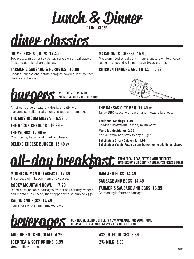Lunch & Dinner

**11AM – CLOSE**



#### **'HOME' FISH & CHIPS 17.49**

Two pieces, in our crispy batter, served on a tidal wave of fries and our signature coleslaw

#### **FARMER'S SAUSAGE & PEROGIES 16.99**

Cheddar cheese and potato perogies covered with sautéed onions and bacon



**'HOME' SALAD OR CUP OF SOUP**

All of our burgers feature a 4oz beef patty with mayonnaise, relish, red onions, lettuce and tomatoes

**THE MUSHROOM MOZZA 16.99** *GF*

**THE BACON CHEDDAR 16.99** *GF*

**THE WORKS 17.99** *GF* Mushrooms, bacon and cheddar cheese

**DELUXE CHEESE BURGER 15.49** *GF*

#### **MACARONI & CHEESE 15.99**

Macaroni noodles baked with our signature white cheese sauce and topped with parmesan bread crumbs

#### **CHICKEN FINGERS AND FRIES 15.99**



**THE KANSAS CITY BBQ 17.49** *GF* Tangy BBQ sauce with bacon and mozzarella cheese

**Additional toppings 1.49** Cheddar, mozzarella, bacon, mushrooms

**Make it a double for 2.99** Add an extra 4oz patty to any burger

**Substitute a Crispy Chicken for 1.99 Substitute a Veggie Pattie on any burger for no additional charge**

FARM FRESH EGGS, SERVED WITH SHREDDED<br>HASHBROWNS OR COUNTRY BREAKFAST FRIES & TOAST



#### **MOUNTAIN MAN BREAKFAST 17.69**

Three eggs with bacon, ham and sausage

#### **ROCKY MOUNTAIN BOWL 17.29**

Diced ham, bacon & sausages over crispy country wedges and mozzarella cheese, then topped with scrambled eggs

**HAM AND EGGS 14.49 SAUSAGE AND EGGS 14.49**

**FARMER'S SAUSAGE AND EGGS 16.99**

German style farmer's sausage

**BACON AND EGGS 14.49**

Four slices of premium smoked bacon



**MUG OF HOT CHOCOLATE 4.29 ICED TEA & SOFT DRINKS 3.99**

(free refills with meal)

**OUR HOUSE BLEND COFFEE IS NOW AVAILABLE FOR YOUR HOME OR AS A GIFT. ASK YOUR SERVER FOR DETAILS 9.99**

**ASSORTED JUICES 3.69** 

**2% MILK 3.69**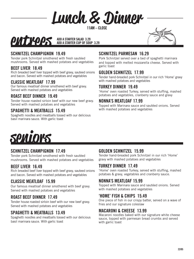Lunch & Dinner

**11AM – CLOSE**



#### **SCHNITZEL CHAMPIGNON 19.49**

Tender pork Schnitzel smothered with fresh sautéed mushrooms. Served with mashed potatoes and vegetables

#### **BEEF LIVER 18.49**

Rich breaded beef liver topped with beef gravy, sauteed onions and bacon. Served with mashed potatoes and vegetables

#### **CLASSIC MEATLOAF 17.99**

Our famous meatloaf dinner smothered with beef gravy. Served with mashed potatoes and vegetables

#### **ROAST BEEF DINNER 19.49**

Tender house roasted sirloin beef with our new beef gravy. Served with mashed potatoes and vegetables

#### **SPAGHETTI & MEATBALLS 15.49**

Spaghetti noodles and meatballs tossed with our delicious basil marinara sauce. With garlic toast

#### **SCHNITZEL PARMESAN 16.29**

Pork Schnitzel served over a bed of spaghetti marinara and topped with melted mozzarella cheese. Served with garlic toast

#### **GOLDEN SCHNITZEL 17.99**

Tender hand-breaded pork Schnitzel in our rich 'Home' gravy with mashed potatoes and vegetables

#### **TURKEY DINNER 19.49**

'Home' oven roasted Turkey, served with stuffing, mashed potatoes and vegetables, cranberry sauce and gravy

#### **NONNA'S MEATLOAF 17.99**

Topped with Marinara sauce and sautéed onions. Served with mashed potatoes and vegetables



#### **SCHNITZEL CHAMPIGNON 17.49**

Tender pork Schnitzel smothered with fresh sautéed mushrooms. Served with mashed potatoes and vegetables

#### **BEEF LIVER 16.49**

Rich breaded beef liver topped with beef gravy, sauteed onions and bacon. Served with mashed potatoes and vegetables

#### **CLASSIC MEATLOAF 15.99**

Our famous meatloaf dinner smothered with beef gravy. Served with mashed potatoes and vegetables

#### **ROAST BEEF DINNER 17.49**

Tender house roasted sirloin beef with our new beef gravy. Served with mashed potatoes and vegetables

#### **SPAGHETTI & MEATBALLS 13.49**

Spaghetti noodles and meatballs tossed with our delicious basil marinara sauce. With garlic toast

#### **GOLDEN SCHNITZEL 15.99**

Tender hand-breaded pork Schnitzel in our rich 'Home' gravy with mashed potatoes and vegetables

#### **TURKEY DINNER 17.49**

'Home' oven roasted Turkey, served with stuffing, mashed potatoes & gravy, vegetables and cranberry sauce.

#### **NONNA'S MEATLOAF 15.99**

Topped with Marinara sauce and sautéed onions. Served with mashed potatoes and vegetables

#### **'HOME' FISH & CHIPS 15.49**

One piece of fish in our crispy batter, served on a wave of fries and our signature coleslaw

#### **MACARONI & CHEESE 13.99**

Macaroni noodles baked with our signature white cheese sauce, topped with parmesan bread crumbs and served with garlic toast